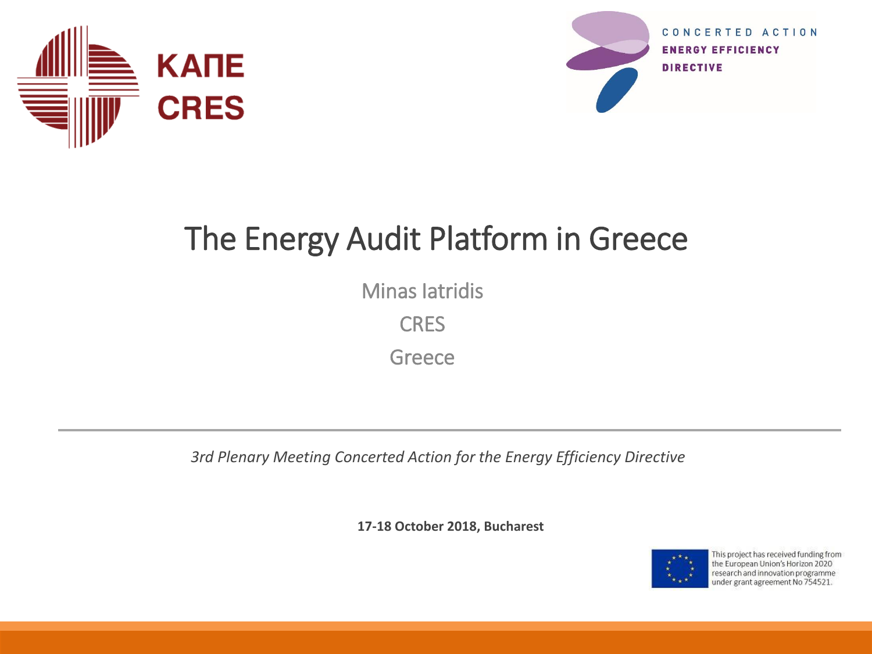



#### The Energy Audit Platform in Greece

Minas Iatridis

**CRES** 

**Greece** 

*3rd Plenary Meeting Concerted Action for the Energy Efficiency Directive*

**17-18 October 2018, Bucharest**



This project has received funding from the European Union's Horizon 2020 research and innovation programme under grant agreement No 754521.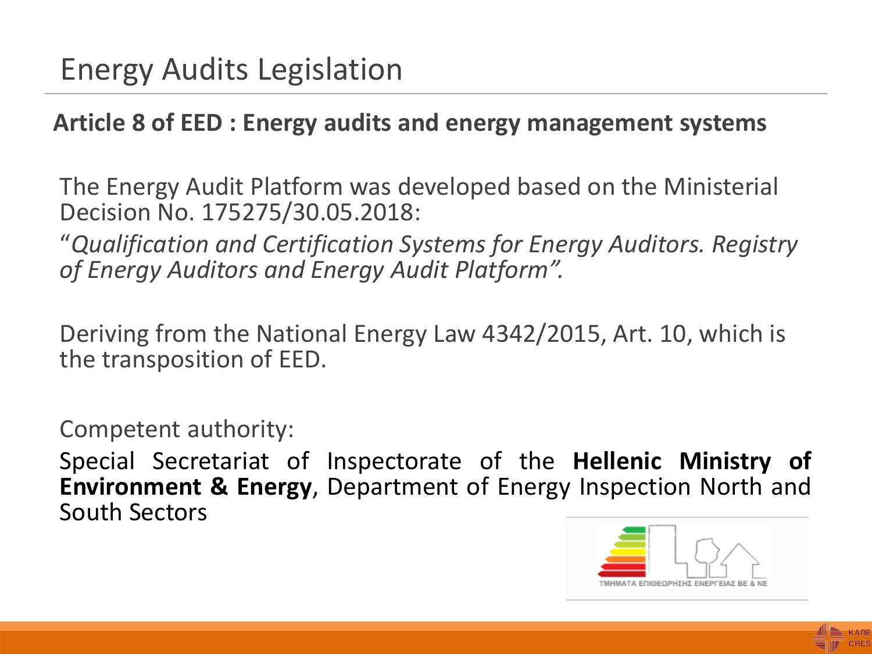#### **Article 8 of EED : Energy audits and energy management systems**

The Energy Audit Platform was developed based on the Ministerial Decision No. 175275/30.05.2018:

"*Qualification and Certification Systems for Energy Auditors. Registry of Energy Auditors and Energy Audit Platform".*

Deriving from the National Energy Law 4342/2015, Art. 10, which is the transposition of EED.

Competent authority:

Special Secretariat of Inspectorate of the **Hellenic Ministry of Environment & Energy**, Department of Energy Inspection North and South Sectors



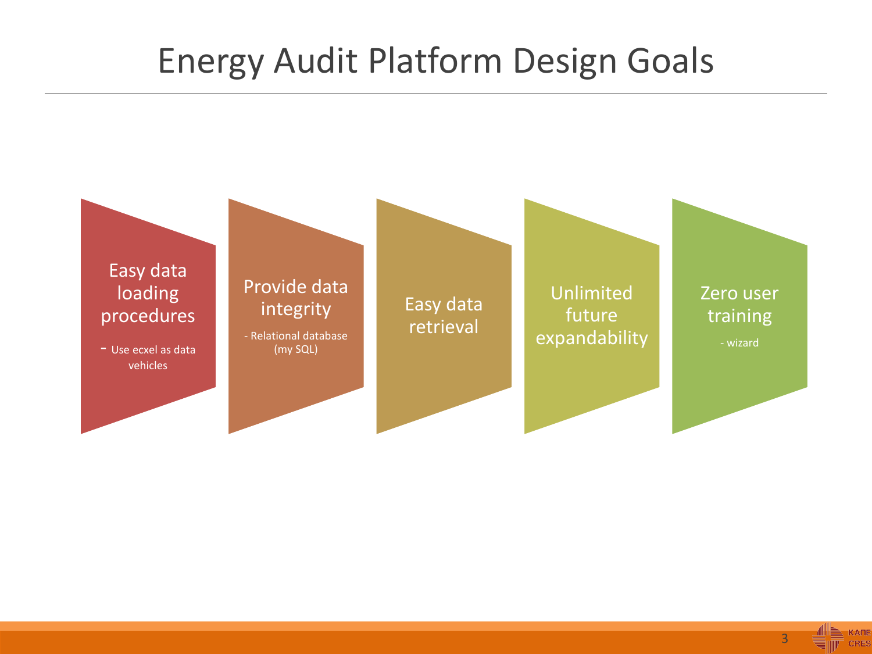#### Energy Audit Platform Design Goals



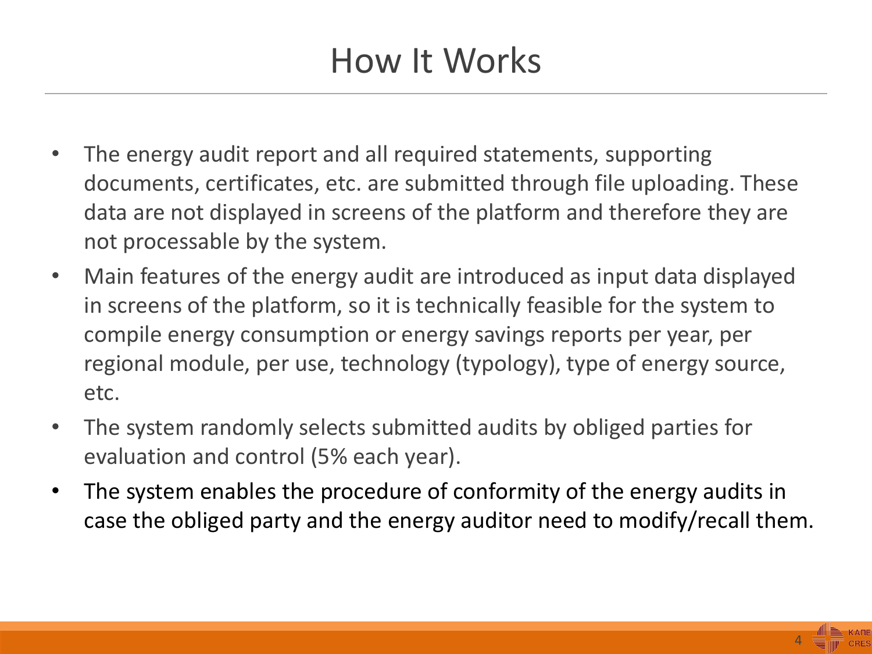### How It Works

- The energy audit report and all required statements, supporting documents, certificates, etc. are submitted through file uploading. These data are not displayed in screens of the platform and therefore they are not processable by the system.
- Main features of the energy audit are introduced as input data displayed in screens of the platform, so it is technically feasible for the system to compile energy consumption or energy savings reports per year, per regional module, per use, technology (typology), type of energy source, etc.
- The system randomly selects submitted audits by obliged parties for evaluation and control (5% each year).
- The system enables the procedure of conformity of the energy audits in case the obliged party and the energy auditor need to modify/recall them.

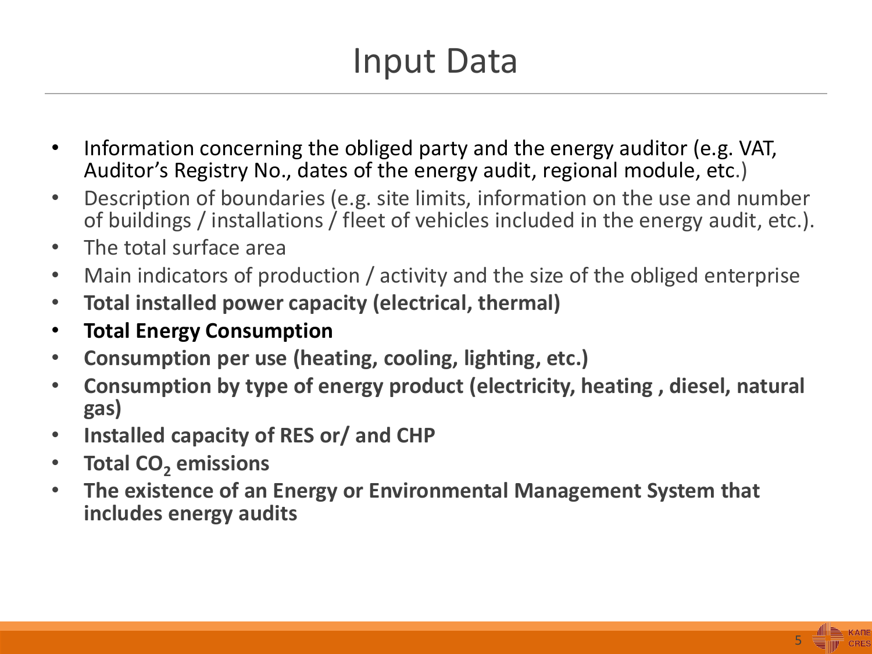## Input Data

- Information concerning the obliged party and the energy auditor (e.g. VAT, Auditor's Registry No., dates of the energy audit, regional module, etc.)
- Description of boundaries (e.g. site limits, information on the use and number of buildings / installations / fleet of vehicles included in the energy audit, etc.).
- The total surface area
- Main indicators of production / activity and the size of the obliged enterprise
- **Total installed power capacity (electrical, thermal)**
- **Total Energy Consumption**
- **Consumption per use (heating, cooling, lighting, etc.)**
- **Consumption by type of energy product (electricity, heating , diesel, natural gas)**
- **Installed capacity of RES or/ and CHP**
- **Total CO<sup>2</sup> emissions**
- **The existence of an Energy or Environmental Management System that includes energy audits**

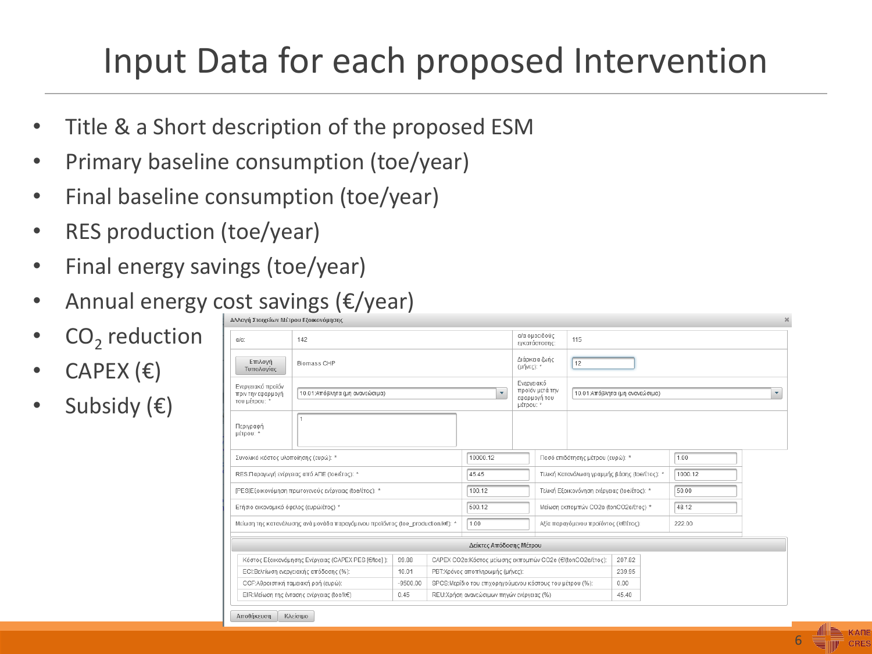## Input Data for each proposed Intervention

- Title & a Short description of the proposed ESM
- Primary baseline consumption (toe/year)
- Final baseline consumption (toe/year)
- RES production (toe/year)
- Final energy savings (toe/year)
- Annual energy cost savings (€/year)
- CO<sub>2</sub> reduction
- $CAPEX$  ( $\varepsilon$ )
- Subsidy  $(\epsilon)$

| $\lambda$<br>Αλλαγή Στοιχείων Μέτρου Εξοικονόμησης                                                                         |                                |  |                                                           |                                 |                                                            |                                               |        |                                |         |  |                      |
|----------------------------------------------------------------------------------------------------------------------------|--------------------------------|--|-----------------------------------------------------------|---------------------------------|------------------------------------------------------------|-----------------------------------------------|--------|--------------------------------|---------|--|----------------------|
| $\alpha/\alpha$ :                                                                                                          | 142                            |  |                                                           |                                 | α/α ομοειδούς<br>115<br>εγκατάστασης:                      |                                               |        |                                |         |  |                      |
| Επιλογή<br>Τυπολογίας                                                                                                      | Biomass CHP                    |  |                                                           |                                 |                                                            | Διάρκεια ζωής<br>12<br>(μήνες): *             |        |                                |         |  |                      |
| Ενεργειακό προϊόν<br>πριν την εφαρμογή<br>του μέτρου: *                                                                    | 10.01:Απόβλητα (μη ανανεώσιμα) |  |                                                           | ۰                               | Ενεργειακό<br>προϊόν μετά την<br>εφαρμογή του<br>μέτρου: * |                                               |        | 10.01:Απόβλητα (μη ανανεώσιμα) |         |  | $\blacktriangledown$ |
| Περιγραφή<br>μέτρου: *                                                                                                     |                                |  |                                                           |                                 |                                                            |                                               |        |                                |         |  |                      |
| Συνολικό κόστος υλοποίησης (ευρώ): *                                                                                       |                                |  | 10000.12                                                  |                                 |                                                            | Ποσό επιδότησης μέτρου (ευρώ): *              |        |                                | 1.00    |  |                      |
| RES:Παραγωγή ενέργειας από ΑΠΕ (toe/έτος): *                                                                               |                                |  | 45.45                                                     |                                 |                                                            | Τελική Κατανάλωση γραμμής βάσης (toe/έτος): * |        |                                | 1000.12 |  |                      |
| [PES]Εξοικονόμηση πρωτογενούς ενέργειας (toe/έτος): *                                                                      |                                |  | 100.12                                                    |                                 | Τελική Εξοικονόνηση ενέργειας (toe/έτος): *                |                                               |        | 50.00                          |         |  |                      |
| Ετήσιο οικονομικό όφελος (ευρώ/έτος) *                                                                                     |                                |  | 500.12                                                    |                                 | Μείωση εκπομπών CO2e (tonCO2e/έτος) *                      |                                               |        | 48.12                          |         |  |                      |
| Μείωση της κατανάλωσης ανά μονάδα παραγόμενου προϊόντος (toe_production/k€): *                                             |                                |  | 1.00                                                      |                                 | Αξία παραγόμενου προϊόντος (k€/έτος):                      |                                               |        | 222.00                         |         |  |                      |
| Δείκτες Απόδοσης Μέτρου                                                                                                    |                                |  |                                                           |                                 |                                                            |                                               |        |                                |         |  |                      |
| Κόστος Εξοικονόμησης Ενέργειας (CAPEX PES [€/toe]):<br>CAPEX CO2e:Κόστος μείωσης εκπομπών CO2e (€/(tonCO2e/έτος):<br>99.88 |                                |  |                                                           |                                 |                                                            |                                               | 207.82 |                                |         |  |                      |
| ΕΟΙ:Βελτίωση ενεργειακής απόδοσης (%):<br>10.01                                                                            |                                |  |                                                           | ΡΒΤ:Χρόνος αποπληρωμής (μήνες): |                                                            |                                               |        | 239.95                         |         |  |                      |
| CCF:Αθροιστική ταμειακή ροή (ευρώ):<br>$-9500.00$                                                                          |                                |  | SPCS: Μερίδιο του επιχορηγούμενου κόστους του μέτρου (%): |                                 |                                                            |                                               | 0.00   |                                |         |  |                      |
| ΕΙR:Μείωση της έντασης ενέργειας (toe/k€)<br>0.45                                                                          |                                |  | REU:Χρήση ανανεώσιμων πηγών ενέργειας (%)                 |                                 |                                                            |                                               | 45.40  |                                |         |  |                      |
| Αποθήκευση                                                                                                                 | Κλείσιμο                       |  |                                                           |                                 |                                                            |                                               |        |                                |         |  |                      |

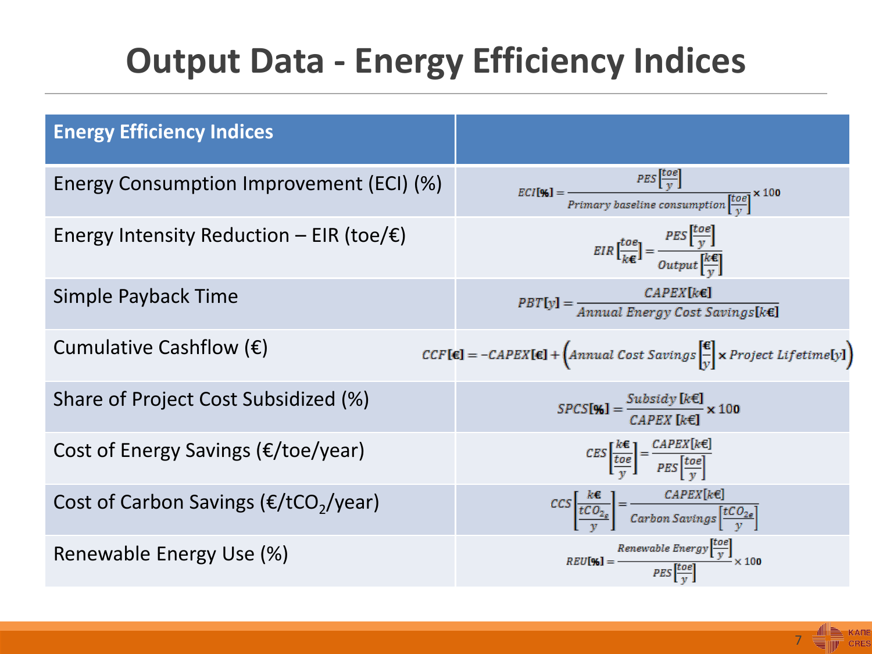## **Output Data - Energy Efficiency Indices**

| <b>Energy Efficiency Indices</b>                      |                                                                                                                                                                                               |
|-------------------------------------------------------|-----------------------------------------------------------------------------------------------------------------------------------------------------------------------------------------------|
| Energy Consumption Improvement (ECI) (%)              | $\text{ECI[}\%] = \frac{\text{PES}\left[\frac{10e}{y}\right]}{\text{Primary baseline consumption}\left[\frac{\text{to}e}{y}\right]} \times 100$                                               |
| Energy Intensity Reduction – EIR (toe/ $\epsilon$ )   | $EIR\left[\frac{toe}{k\epsilon}\right] = \frac{PES\left[\frac{toe}{y}\right]}{Output\left[\frac{k\epsilon}{n}\right]}$                                                                        |
| Simple Payback Time                                   | $\mathit{PBT}[y] = \frac{\mathit{CAPEX}[k \in \mathbf{R}]}{\mathit{Annual Energy Cost Savings}[k \in \mathbf{R}]}$                                                                            |
| Cumulative Cashflow $(\epsilon)$                      | $CCF[\mathbf{\epsilon}] = -CAPEX[\mathbf{\epsilon}] + (Annual Cost Savings \frac{\mathbf{\epsilon}}{v} \times Project \; Life time [y])$                                                      |
| Share of Project Cost Subsidized (%)                  | $SPCS[\%] = \frac{Subsidy [k \in ]}{CAPEX [k \in ]} \times 100$                                                                                                                               |
| Cost of Energy Savings ( $E/$ toe/year)               | $CES\left[\frac{k\epsilon}{\frac{toe}{v}}\right] = \frac{CAPEX[k\epsilon]}{PES\left[\frac{toe}{v}\right]}$                                                                                    |
| Cost of Carbon Savings ( $E/$ tCO <sub>2</sub> /year) | $\begin{aligned} \mathit{CCS}\left[\frac{k\epsilon}{tCO_{2\epsilon}}\right] = \frac{\mathit{CAPEX}[k\epsilon]}{\mathit{Carbon\,Savings}\left[\frac{tCO_{2\epsilon}}{v}\right]} \end{aligned}$ |
| Renewable Energy Use (%)                              | $REU[\%] = \frac{Renewable Energy\left[\frac{toe}{y}\right]}{PES\left[\frac{toe}{y}\right]} \times 100$                                                                                       |

7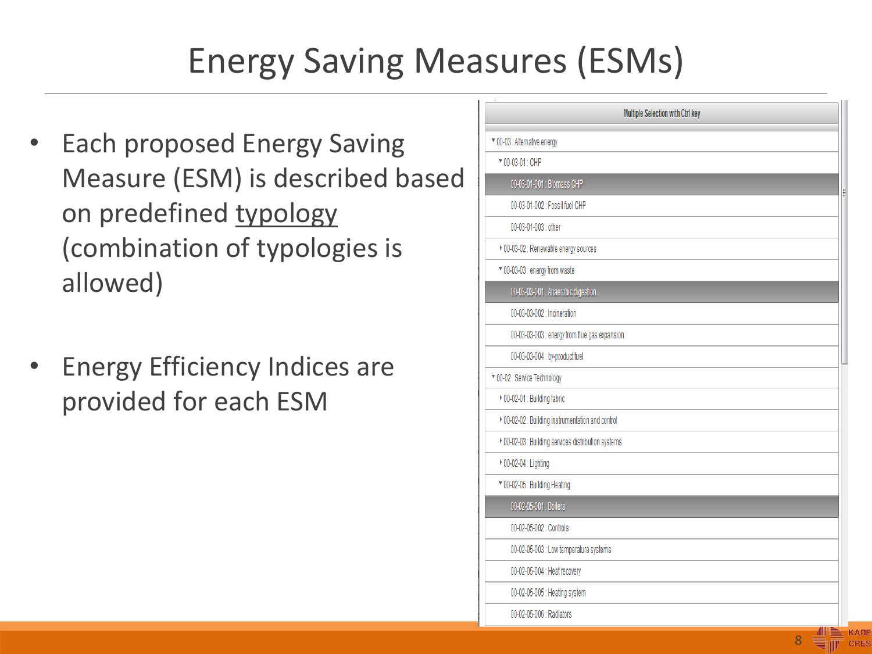# Energy Saving Measures (ESMs)

- Each proposed Energy Saving Measure (ESM) is described based on predefined typology (combination of typologies is allowed)
- Energy Efficiency Indices are provided for each ESM

|                                                     | Multiple Selection with Ctrl key |
|-----------------------------------------------------|----------------------------------|
| ▼ 00-03 : Alternative energy                        |                                  |
| ▼ 00-03-01: CHP                                     |                                  |
| 00-03-01-001 : Biomass CHP                          |                                  |
| 00-03-01-002 : Fossil fuel CHP                      |                                  |
| 00-03-01-003 : other                                |                                  |
| ▶ 00-03-02 : Renewable energy sources               |                                  |
| ▼ 00-03-03 : energy from waste                      |                                  |
| 00-03-03-001 : Anaerobic digestion                  |                                  |
| 00-03-03-002 : Incineration                         |                                  |
| 00-03-03-003 : energy from flue gas expansion       |                                  |
| 00-03-03-004 : by-product fuel                      |                                  |
| ▼ 00-02 : Service Technology                        |                                  |
| ▶ 00-02-01 : Building fabric                        |                                  |
| ▶ 00-02-02 : Building instrumentation and control   |                                  |
| ▶ 00-02-03 : Building services distribution systems |                                  |
| ▶ 00-02-04 : Lighting                               |                                  |
| ▼ 00-02-05 : Building Heating                       |                                  |
| 00-02-05-001: Boilers                               |                                  |
| 00-02-05-002 : Controls                             |                                  |
| 00-02-05-003 : Low temperature systems              |                                  |
| 00-02-05-004 : Heat recovery                        |                                  |
| 00-02-05-005 : Heating system                       |                                  |
| 00-02-05-006 : Radiators                            |                                  |

8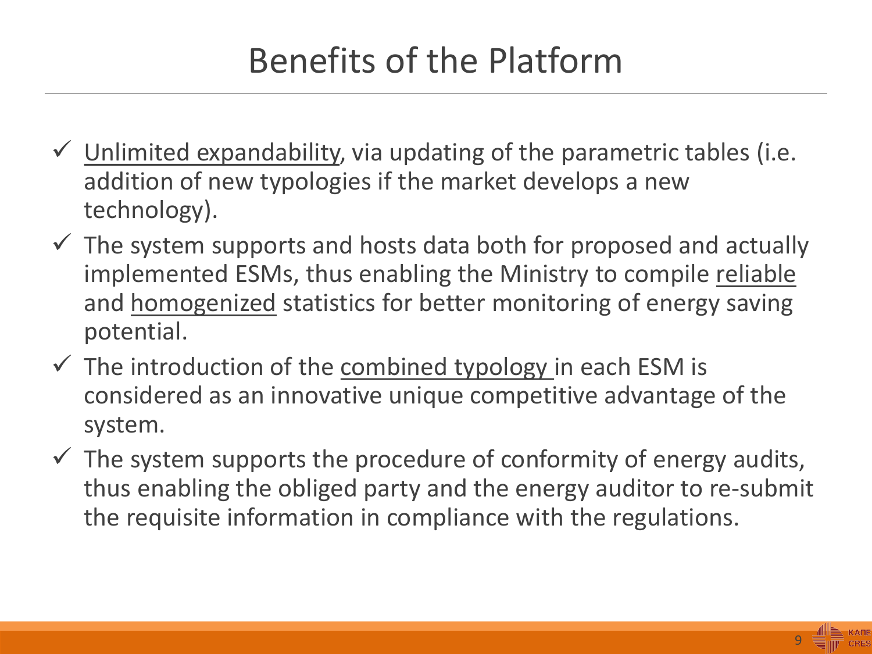## Benefits of the Platform

- $\checkmark$  Unlimited expandability, via updating of the parametric tables (i.e. addition of new typologies if the market develops a new technology).
- $\checkmark$  The system supports and hosts data both for proposed and actually implemented ESMs, thus enabling the Ministry to compile reliable and homogenized statistics for better monitoring of energy saving potential.
- $\checkmark$  The introduction of the combined typology in each ESM is considered as an innovative unique competitive advantage of the system.
- $\checkmark$  The system supports the procedure of conformity of energy audits, thus enabling the obliged party and the energy auditor to re-submit the requisite information in compliance with the regulations.

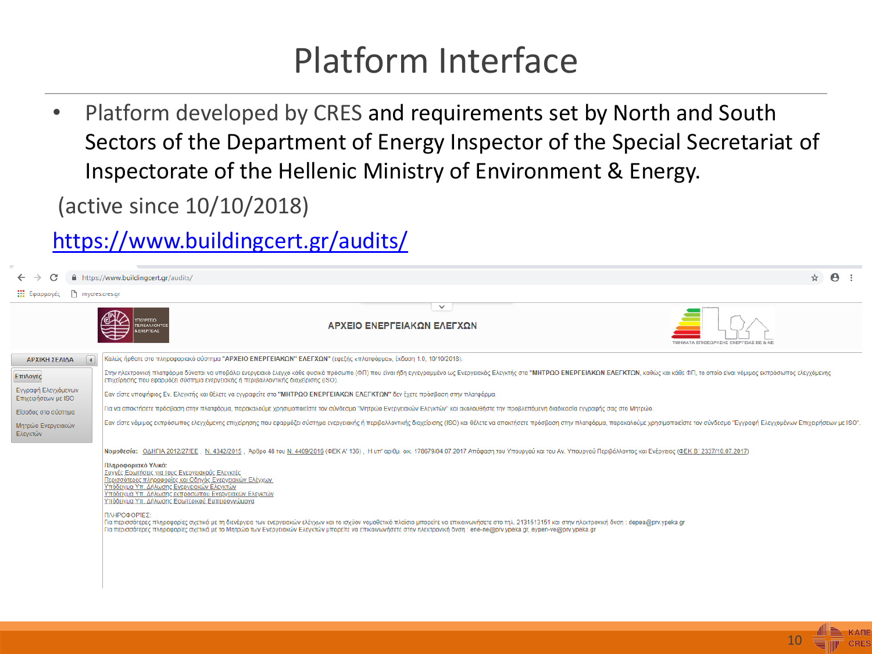#### Platform Interface

• Platform developed by CRES and requirements set by North and South Sectors of the Department of Energy Inspector of the Special Secretariat of Inspectorate of the Hellenic Ministry of Environment & Energy.

(active since 10/10/2018)

#### <https://www.buildingcert.gr/audits/>

|                                            | ☆<br>A https://www.buildingcert.gr/audits/                                                                                                                                                                                                                                                                                                                                                              | $\boldsymbol{\Theta}$ |
|--------------------------------------------|---------------------------------------------------------------------------------------------------------------------------------------------------------------------------------------------------------------------------------------------------------------------------------------------------------------------------------------------------------------------------------------------------------|-----------------------|
| mycres.cres.gr<br><b>Εξ</b> Εφαρμογές      |                                                                                                                                                                                                                                                                                                                                                                                                         |                       |
|                                            | $\checkmark$<br>ΑΡΧΕΙΟ ΕΝΕΡΓΕΙΑΚΩΝ ΕΛΕΓΧΩΝ<br>EPIBAAAONT<br><b>ENEPTEIAE</b><br>ΤΜΗΜΑΤΑ ΕΠΙΘΕΩΡΗΣΗΣ ΕΝΕΡΓΕΙΑΣ ΒΕ & ΝΕ                                                                                                                                                                                                                                                                                   |                       |
| $\Box$<br>ΑΡΧΙΚΗ ΣΕΛΙΔΑ                    | Καλώς ήρθατε στο πληροφοριακό σύστημα "ΑΡΧΕΙΟ ΕΝΕΡΓΕΙΑΚΩΝ" ΕΛΕΓΧΩΝ" (εφεξής «πλατφόρμα», έκδοση 1.0, 10/10/2018).                                                                                                                                                                                                                                                                                       |                       |
| Επιλογές                                   | Στην ηλεκτρονική πλατφόρμα δύναται να υποβάλει ενεργειακό έλεγχο κάθε φυσικό πρόσωπο (ΦΠ) που είναι ήδη εγγεγραμμένο ως Ενεργειακός Ελεγκτής στο "ΜΗΤΡΩΟ ΕΝΕΡΓΕΙΑΚΩΝ ΕΛΕΓΚΤΩΝ, καθώς και κάθε ΦΠ, το οποίο είναι νόμιμος εκπρό<br>επιχείρησης που εφαρμόζει σύστημα ενεργειακής ή περιβαλλοντικής διαχείρισης (ISO).                                                                                    |                       |
| Εγγραφή Ελεγχόμενων<br>Επιχειρήσεων με ISO | Εαν είστε υποψήφιος Εν. Ελεγκτής και θέλετε να εγγραφείτε στο "ΜΗΤΡΩΟ ΕΝΕΡΓΕΙΑΚΩΝ ΕΛΕΓΚΤΩΝ" δεν έχετε πρόσβαση στην πλατφόρμα.                                                                                                                                                                                                                                                                          |                       |
| Είσοδος στο σύστημα                        | Για να αποκτήσετε πρόσβαση στην πλατφόρμα, παρακαλούμε χρησιμοποιείστε τον σύνδεσμο "Μητρώο Ενεργειακών Ελεγκτών" και ακολουθήστε την προβλεπόμενη διαδικασία εγγραφής σας στο Μητρώο.                                                                                                                                                                                                                  |                       |
| Μητρώο Ενεργειακών<br>Ελεγκτών             | Εαν είστε νόμιμος εκπρόσωπος ελεγχόμενης επιχείρησης που εφαρμόζει σύστημα ενεργειακής ή περιβαλλοντικής διαχείρισης (ISO) και θέλετε να αποκτήσετε πρόσβαση στην πλατφόρμα, παρακαλούμε χρησιμοποιείστε τον σύνδεσμο "Εγγραφ                                                                                                                                                                           |                       |
|                                            | Νομοθεσία: ΟΔΗΓΙΑ 2012/27/ΕΕ, Ν. 4342/2015, Άρθρο 48 του Ν. 4409/2016 (ΦΕΚ Α' 136), Η υπ' αριθμ. οικ. 178679/04.07.2017 Απόφαση του Υπουργού και του Αν. Υπουργού Περιβάλλοντος και Ενέργειας (ΦΕΚ Β' 2337/10.07.2017)                                                                                                                                                                                  |                       |
|                                            | Πληροφοριακό Υλικό:<br>Συχνές Ερωτήσεις για τους Ενεργειακούς Ελεγκτές<br>Περισσότερες πληροφορίες και Οδηγός Ενεργειακών Ελέγχων<br>Υπόδειγμα Υπ. Δήλωσης Ενεργειακών Ελεγκτών<br>Υπόδειγμα Υπ. Δήλωσης εκπροσώπου Ενεργειακών Ελεγκτών<br>Υπόδειγμα Υπ. Δήλωσης Εσωτερικού Εμπειρογνώμονα                                                                                                             |                       |
|                                            | ΠΛΗΡΟΦΟΡΊΕΣ:<br>Για περισσότερες πληροφορίες σχετικά με τη διενέργεια των ενεργειακών ελέγχων και το ισχύον νομοθετικό πλαίσιο μπορείτε να επικοινωνήσετε στο τηλ. 2131513151 και στην ηλεκτρονική δνση: depea@prv.ypeka.gr<br>Για περισσότερες πληροφορίες σχετικά με το Μητρώο των Ενεργειακών Ελεγκτών μπορείτε να επικοινωνήσετε στην ηλεκτρονική δνση : ene-ne@prv.ypeka.gr, eypen-ve@prv.ypeka.gr |                       |
|                                            |                                                                                                                                                                                                                                                                                                                                                                                                         |                       |

10